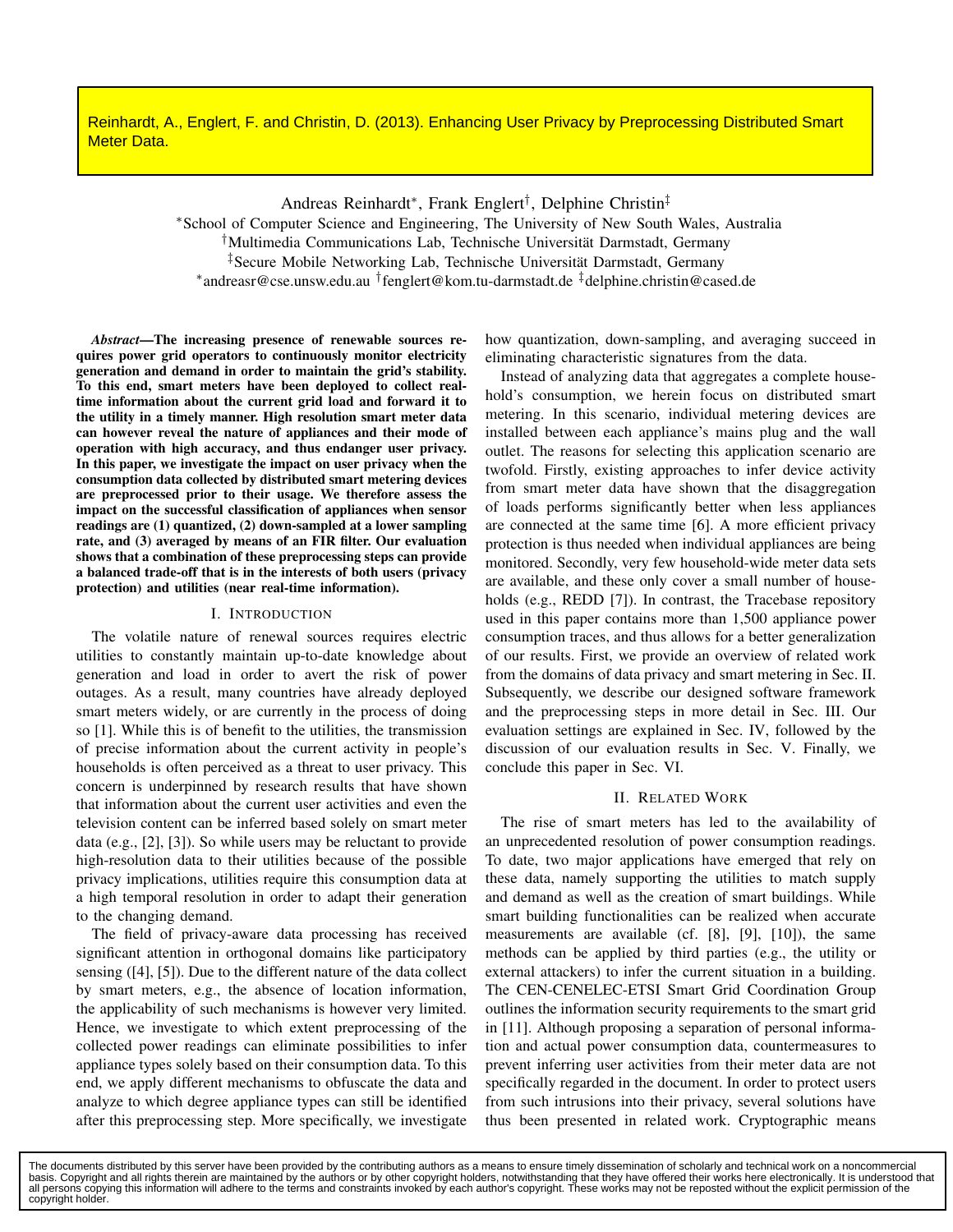Enhancing User Privacy by Preprocessing Reinhardt, A., Englert, F. and Christin, D. (2013). Enhancing User Privacy by Preprocessing Distributed Smart Meter Data.

Andreas Reinhardt∗, Frank Englert†, Delphine Christin‡

∗School of Computer Science and Engineering, The University of New South Wales, Australia †Multimedia Communications Lab, Technische Universität Darmstadt, Germany

‡Secure Mobile Networking Lab, Technische Universität Darmstadt, Germany

∗andreasr@cse.unsw.edu.au †fenglert@kom.tu-darmstadt.de ‡delphine.christin@cased.de

*Abstract*—The increasing presence of renewable sources requires power grid operators to continuously monitor electricity generation and demand in order to maintain the grid's stability. To this end, smart meters have been deployed to collect realtime information about the current grid load and forward it to the utility in a timely manner. High resolution smart meter data can however reveal the nature of appliances and their mode of operation with high accuracy, and thus endanger user privacy. In this paper, we investigate the impact on user privacy when the consumption data collected by distributed smart metering devices are preprocessed prior to their usage. We therefore assess the impact on the successful classification of appliances when sensor readings are (1) quantized, (2) down-sampled at a lower sampling rate, and (3) averaged by means of an FIR filter. Our evaluation shows that a combination of these preprocessing steps can provide a balanced trade-off that is in the interests of both users (privacy protection) and utilities (near real-time information).

# I. INTRODUCTION

The volatile nature of renewal sources requires electric utilities to constantly maintain up-to-date knowledge about generation and load in order to avert the risk of power outages. As a result, many countries have already deployed smart meters widely, or are currently in the process of doing so [1]. While this is of benefit to the utilities, the transmission of precise information about the current activity in people's households is often perceived as a threat to user privacy. This concern is underpinned by research results that have shown that information about the current user activities and even the television content can be inferred based solely on smart meter data (e.g., [2], [3]). So while users may be reluctant to provide high-resolution data to their utilities because of the possible privacy implications, utilities require this consumption data at a high temporal resolution in order to adapt their generation to the changing demand.

The field of privacy-aware data processing has received significant attention in orthogonal domains like participatory sensing ([4], [5]). Due to the different nature of the data collect by smart meters, e.g., the absence of location information, the applicability of such mechanisms is however very limited. Hence, we investigate to which extent preprocessing of the collected power readings can eliminate possibilities to infer appliance types solely based on their consumption data. To this end, we apply different mechanisms to obfuscate the data and analyze to which degree appliance types can still be identified after this preprocessing step. More specifically, we investigate

how quantization, down-sampling, and averaging succeed in eliminating characteristic signatures from the data.

Instead of analyzing data that aggregates a complete household's consumption, we herein focus on distributed smart metering. In this scenario, individual metering devices are installed between each appliance's mains plug and the wall outlet. The reasons for selecting this application scenario are twofold. Firstly, existing approaches to infer device activity from smart meter data have shown that the disaggregation of loads performs significantly better when less appliances are connected at the same time [6]. A more efficient privacy protection is thus needed when individual appliances are being monitored. Secondly, very few household-wide meter data sets are available, and these only cover a small number of households (e.g., REDD [7]). In contrast, the Tracebase repository used in this paper contains more than 1,500 appliance power consumption traces, and thus allows for a better generalization of our results. First, we provide an overview of related work from the domains of data privacy and smart metering in Sec. II. Subsequently, we describe our designed software framework and the preprocessing steps in more detail in Sec. III. Our evaluation settings are explained in Sec. IV, followed by the discussion of our evaluation results in Sec. V. Finally, we conclude this paper in Sec. VI.

# II. RELATED WORK

The rise of smart meters has led to the availability of an unprecedented resolution of power consumption readings. To date, two major applications have emerged that rely on these data, namely supporting the utilities to match supply and demand as well as the creation of smart buildings. While smart building functionalities can be realized when accurate measurements are available (cf. [8], [9], [10]), the same methods can be applied by third parties (e.g., the utility or external attackers) to infer the current situation in a building. The CEN-CENELEC-ETSI Smart Grid Coordination Group outlines the information security requirements to the smart grid in [11]. Although proposing a separation of personal information and actual power consumption data, countermeasures to prevent inferring user activities from their meter data are not specifically regarded in the document. In order to protect users from such intrusions into their privacy, several solutions have thus been presented in related work. Cryptographic means

The documents distributed by this server have been provided by the contributing authors as a means to ensure timely dissemination of scholarly and technical work on a noncommercial work of scholarly and technical work on a basis. Copyright and all rights therein are maintained by the authors or by other copyright holders, notwithstanding that they have offered their works here electronically. It is understood that all persons copying this information will adhere to the terms and constraints invoked by each author's copyright. These works may not be reposted without the explicit permission of the copyright holder.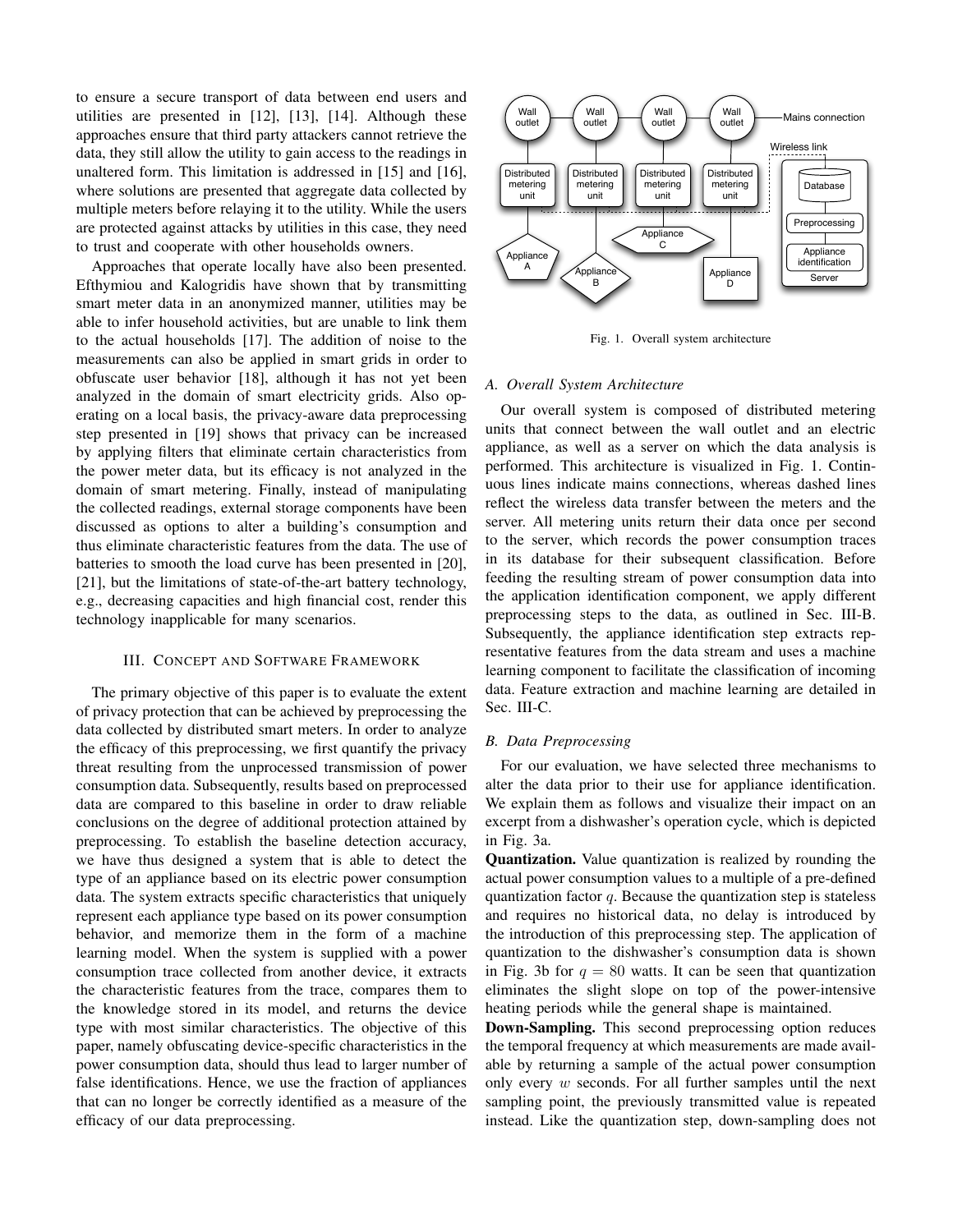to ensure a secure transport of data between end users and utilities are presented in [12], [13], [14]. Although these approaches ensure that third party attackers cannot retrieve the data, they still allow the utility to gain access to the readings in unaltered form. This limitation is addressed in [15] and [16], where solutions are presented that aggregate data collected by multiple meters before relaying it to the utility. While the users are protected against attacks by utilities in this case, they need to trust and cooperate with other households owners.

Approaches that operate locally have also been presented. Efthymiou and Kalogridis have shown that by transmitting smart meter data in an anonymized manner, utilities may be able to infer household activities, but are unable to link them to the actual households [17]. The addition of noise to the measurements can also be applied in smart grids in order to obfuscate user behavior [18], although it has not yet been analyzed in the domain of smart electricity grids. Also operating on a local basis, the privacy-aware data preprocessing step presented in [19] shows that privacy can be increased by applying filters that eliminate certain characteristics from the power meter data, but its efficacy is not analyzed in the domain of smart metering. Finally, instead of manipulating the collected readings, external storage components have been discussed as options to alter a building's consumption and thus eliminate characteristic features from the data. The use of batteries to smooth the load curve has been presented in [20], [21], but the limitations of state-of-the-art battery technology, e.g., decreasing capacities and high financial cost, render this technology inapplicable for many scenarios.

### III. CONCEPT AND SOFTWARE FRAMEWORK

The primary objective of this paper is to evaluate the extent of privacy protection that can be achieved by preprocessing the data collected by distributed smart meters. In order to analyze the efficacy of this preprocessing, we first quantify the privacy threat resulting from the unprocessed transmission of power consumption data. Subsequently, results based on preprocessed data are compared to this baseline in order to draw reliable conclusions on the degree of additional protection attained by preprocessing. To establish the baseline detection accuracy, we have thus designed a system that is able to detect the type of an appliance based on its electric power consumption data. The system extracts specific characteristics that uniquely represent each appliance type based on its power consumption behavior, and memorize them in the form of a machine learning model. When the system is supplied with a power consumption trace collected from another device, it extracts the characteristic features from the trace, compares them to the knowledge stored in its model, and returns the device type with most similar characteristics. The objective of this paper, namely obfuscating device-specific characteristics in the power consumption data, should thus lead to larger number of false identifications. Hence, we use the fraction of appliances that can no longer be correctly identified as a measure of the efficacy of our data preprocessing.



Fig. 1. Overall system architecture

### *A. Overall System Architecture*

Our overall system is composed of distributed metering units that connect between the wall outlet and an electric appliance, as well as a server on which the data analysis is performed. This architecture is visualized in Fig. 1. Continuous lines indicate mains connections, whereas dashed lines reflect the wireless data transfer between the meters and the server. All metering units return their data once per second to the server, which records the power consumption traces in its database for their subsequent classification. Before feeding the resulting stream of power consumption data into the application identification component, we apply different preprocessing steps to the data, as outlined in Sec. III-B. Subsequently, the appliance identification step extracts representative features from the data stream and uses a machine learning component to facilitate the classification of incoming data. Feature extraction and machine learning are detailed in Sec. III-C.

# *B. Data Preprocessing*

For our evaluation, we have selected three mechanisms to alter the data prior to their use for appliance identification. We explain them as follows and visualize their impact on an excerpt from a dishwasher's operation cycle, which is depicted in Fig. 3a.

Quantization. Value quantization is realized by rounding the actual power consumption values to a multiple of a pre-defined quantization factor *q*. Because the quantization step is stateless and requires no historical data, no delay is introduced by the introduction of this preprocessing step. The application of quantization to the dishwasher's consumption data is shown in Fig. 3b for  $q = 80$  watts. It can be seen that quantization eliminates the slight slope on top of the power-intensive heating periods while the general shape is maintained.

Down-Sampling. This second preprocessing option reduces the temporal frequency at which measurements are made available by returning a sample of the actual power consumption only every *w* seconds. For all further samples until the next sampling point, the previously transmitted value is repeated instead. Like the quantization step, down-sampling does not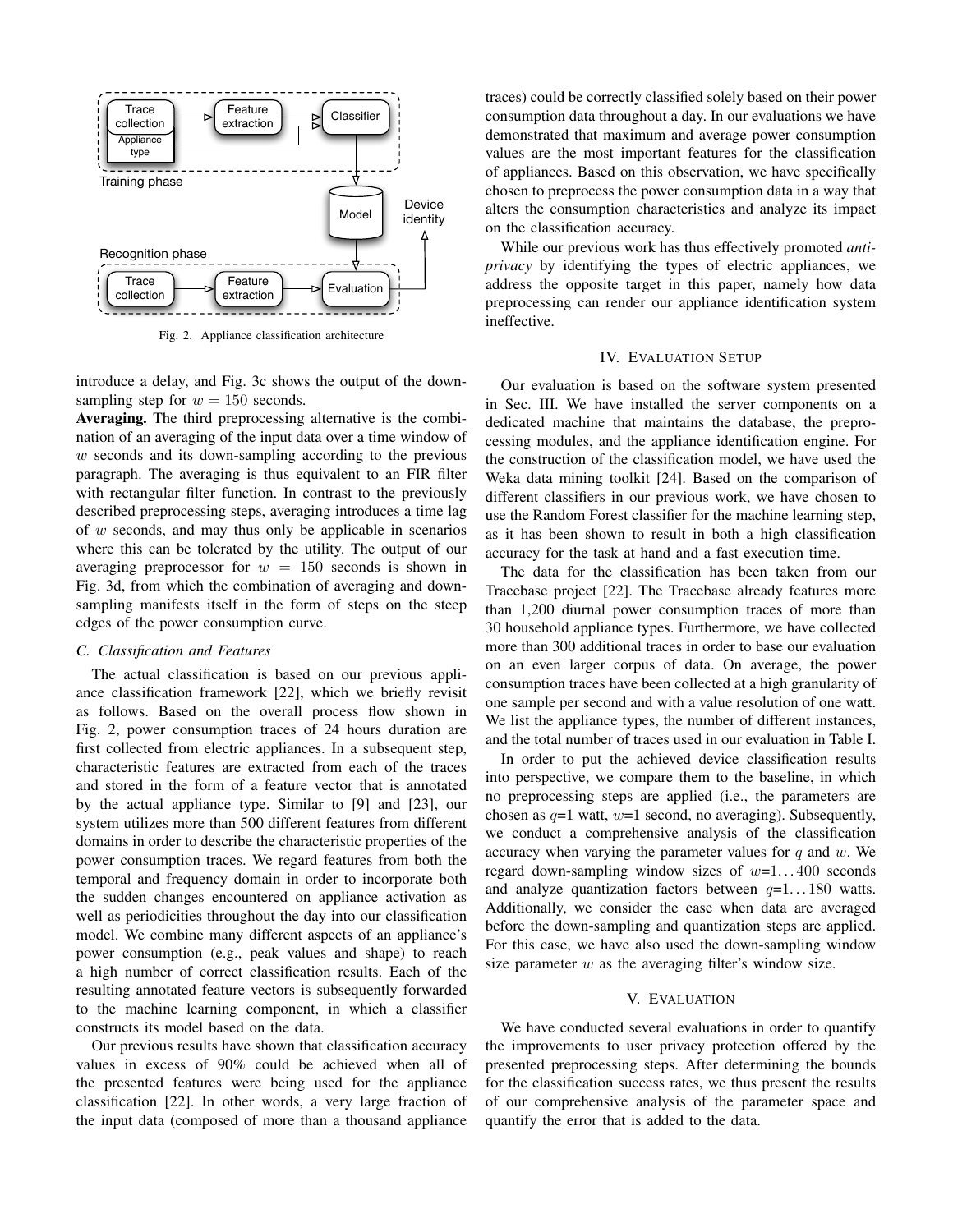

Fig. 2. Appliance classification architecture

introduce a delay, and Fig. 3c shows the output of the downsampling step for  $w = 150$  seconds.

Averaging. The third preprocessing alternative is the combination of an averaging of the input data over a time window of *w* seconds and its down-sampling according to the previous paragraph. The averaging is thus equivalent to an FIR filter with rectangular filter function. In contrast to the previously described preprocessing steps, averaging introduces a time lag of *w* seconds, and may thus only be applicable in scenarios where this can be tolerated by the utility. The output of our averaging preprocessor for  $w = 150$  seconds is shown in Fig. 3d, from which the combination of averaging and downsampling manifests itself in the form of steps on the steep edges of the power consumption curve.

# *C. Classification and Features*

The actual classification is based on our previous appliance classification framework [22], which we briefly revisit as follows. Based on the overall process flow shown in Fig. 2, power consumption traces of 24 hours duration are first collected from electric appliances. In a subsequent step, characteristic features are extracted from each of the traces and stored in the form of a feature vector that is annotated by the actual appliance type. Similar to [9] and [23], our system utilizes more than 500 different features from different domains in order to describe the characteristic properties of the power consumption traces. We regard features from both the temporal and frequency domain in order to incorporate both the sudden changes encountered on appliance activation as well as periodicities throughout the day into our classification model. We combine many different aspects of an appliance's power consumption (e.g., peak values and shape) to reach a high number of correct classification results. Each of the resulting annotated feature vectors is subsequently forwarded to the machine learning component, in which a classifier constructs its model based on the data.

Our previous results have shown that classification accuracy values in excess of 90% could be achieved when all of the presented features were being used for the appliance classification [22]. In other words, a very large fraction of the input data (composed of more than a thousand appliance

traces) could be correctly classified solely based on their power consumption data throughout a day. In our evaluations we have demonstrated that maximum and average power consumption values are the most important features for the classification of appliances. Based on this observation, we have specifically chosen to preprocess the power consumption data in a way that alters the consumption characteristics and analyze its impact on the classification accuracy.

While our previous work has thus effectively promoted *antiprivacy* by identifying the types of electric appliances, we address the opposite target in this paper, namely how data preprocessing can render our appliance identification system ineffective.

#### IV. EVALUATION SETUP

Our evaluation is based on the software system presented in Sec. III. We have installed the server components on a dedicated machine that maintains the database, the preprocessing modules, and the appliance identification engine. For the construction of the classification model, we have used the Weka data mining toolkit [24]. Based on the comparison of different classifiers in our previous work, we have chosen to use the Random Forest classifier for the machine learning step, as it has been shown to result in both a high classification accuracy for the task at hand and a fast execution time.

The data for the classification has been taken from our Tracebase project [22]. The Tracebase already features more than 1,200 diurnal power consumption traces of more than 30 household appliance types. Furthermore, we have collected more than 300 additional traces in order to base our evaluation on an even larger corpus of data. On average, the power consumption traces have been collected at a high granularity of one sample per second and with a value resolution of one watt. We list the appliance types, the number of different instances, and the total number of traces used in our evaluation in Table I.

In order to put the achieved device classification results into perspective, we compare them to the baseline, in which no preprocessing steps are applied (i.e., the parameters are chosen as *q*=1 watt, *w*=1 second, no averaging). Subsequently, we conduct a comprehensive analysis of the classification accuracy when varying the parameter values for *q* and *w*. We regard down-sampling window sizes of *w*=1... 400 seconds and analyze quantization factors between *q*=1... 180 watts. Additionally, we consider the case when data are averaged before the down-sampling and quantization steps are applied. For this case, we have also used the down-sampling window size parameter *w* as the averaging filter's window size.

# V. EVALUATION

We have conducted several evaluations in order to quantify the improvements to user privacy protection offered by the presented preprocessing steps. After determining the bounds for the classification success rates, we thus present the results of our comprehensive analysis of the parameter space and quantify the error that is added to the data.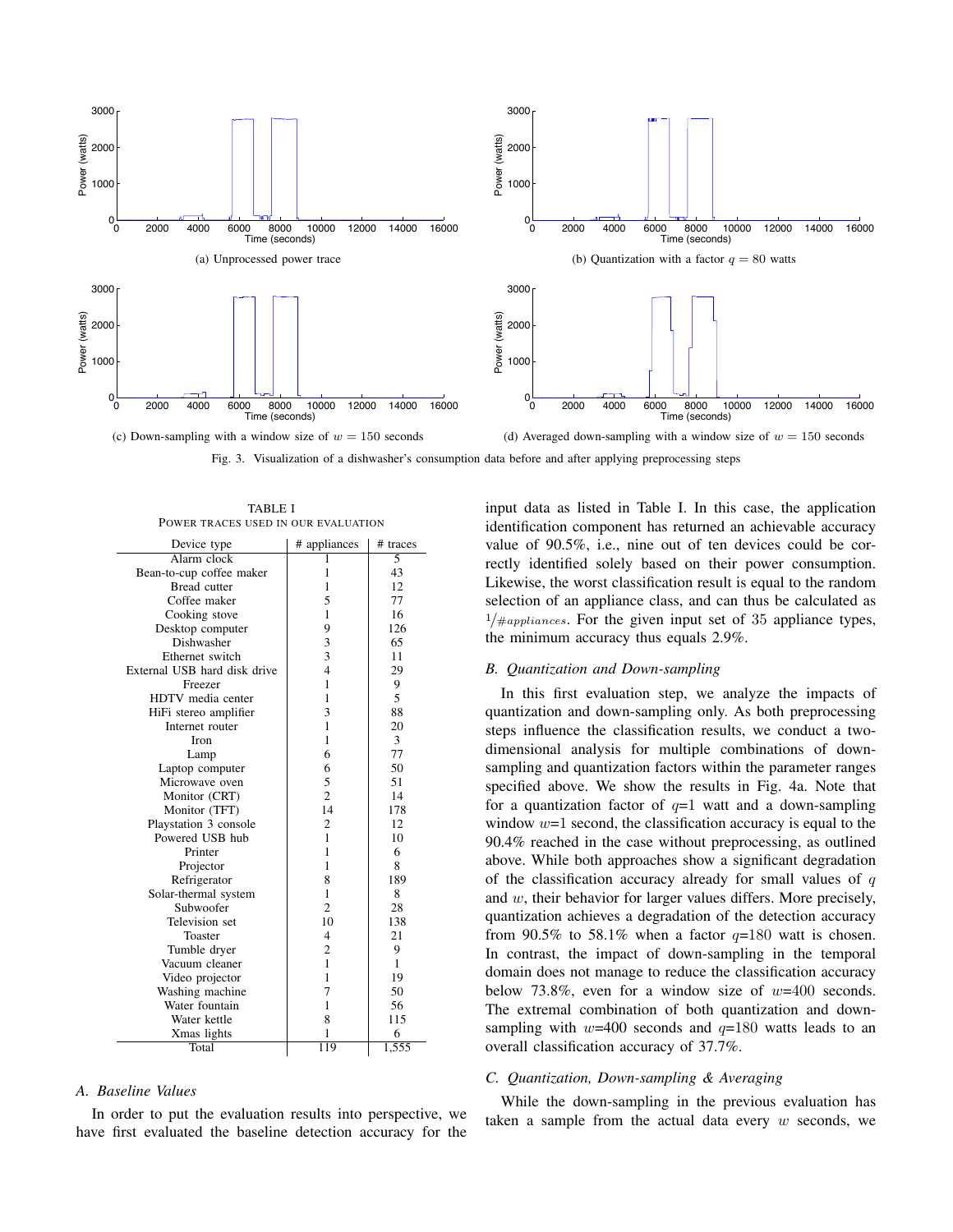

Fig. 3. Visualization of a dishwasher's consumption data before and after applying preprocessing steps

| Device type                  | # appliances   | # traces |
|------------------------------|----------------|----------|
| Alarm clock                  | 1              | 5        |
| Bean-to-cup coffee maker     | 1              | 43       |
| Bread cutter                 | 1              | 12       |
| Coffee maker                 | 5              | 77       |
| Cooking stove                | 1              | 16       |
| Desktop computer             | 9              | 126      |
| Dishwasher                   | 3              | 65       |
| Ethernet switch              | 3              | 11       |
| External USB hard disk drive | $\overline{4}$ | 29       |
| Freezer                      | 1              | 9        |
| HDTV media center            | 1              | 5        |
| HiFi stereo amplifier        | 3              | 88       |
| Internet router              | 1              | 20       |
| Iron                         | 1              | 3        |
| Lamp                         | 6              | 77       |
| Laptop computer              | 6              | 50       |
| Microwaye oven               | 5              | 51       |
| Monitor (CRT)                | $\overline{c}$ | 14       |
| Monitor (TFT)                | 14             | 178      |
| Playstation 3 console        | $\overline{2}$ | 12       |
| Powered USB hub              | 1              | 10       |
| Printer                      | 1              | 6        |
| Projector                    | 1              | 8        |
| Refrigerator                 | 8              | 189      |
| Solar-thermal system         | 1              | 8        |
| Subwoofer                    | $\overline{c}$ | 28       |
| Television set               | 10             | 138      |
| Toaster                      | $\overline{4}$ | 21       |
| Tumble dryer                 | $\overline{c}$ | 9        |
| Vacuum cleaner               | $\mathbf{1}$   | 1        |
| Video projector              | 1              | 19       |
| Washing machine              | 7              | 50       |
| Water fountain               | 1              | 56       |
| Water kettle                 | 8              | 115      |
| Xmas lights                  | 1              | 6        |
| Total                        | 119            | 1,555    |

TABLE I POWER TRACES USED IN OUR EVALUATION

### *A. Baseline Values*

In order to put the evaluation results into perspective, we have first evaluated the baseline detection accuracy for the input data as listed in Table I. In this case, the application identification component has returned an achievable accuracy value of 90.5%, i.e., nine out of ten devices could be correctly identified solely based on their power consumption. Likewise, the worst classification result is equal to the random selection of an appliance class, and can thus be calculated as  $1/\#appliances$ . For the given input set of 35 appliance types, the minimum accuracy thus equals 2.9%.

# *B. Quantization and Down-sampling*

In this first evaluation step, we analyze the impacts of quantization and down-sampling only. As both preprocessing steps influence the classification results, we conduct a twodimensional analysis for multiple combinations of downsampling and quantization factors within the parameter ranges specified above. We show the results in Fig. 4a. Note that for a quantization factor of  $q=1$  watt and a down-sampling window *w*=1 second, the classification accuracy is equal to the 90.4% reached in the case without preprocessing, as outlined above. While both approaches show a significant degradation of the classification accuracy already for small values of *q* and *w*, their behavior for larger values differs. More precisely, quantization achieves a degradation of the detection accuracy from 90.5% to 58.1% when a factor  $q=180$  watt is chosen. In contrast, the impact of down-sampling in the temporal domain does not manage to reduce the classification accuracy below 73.8%, even for a window size of *w*=400 seconds. The extremal combination of both quantization and downsampling with *w*=400 seconds and *q*=180 watts leads to an overall classification accuracy of 37.7%.

# *C. Quantization, Down-sampling & Averaging*

While the down-sampling in the previous evaluation has taken a sample from the actual data every *w* seconds, we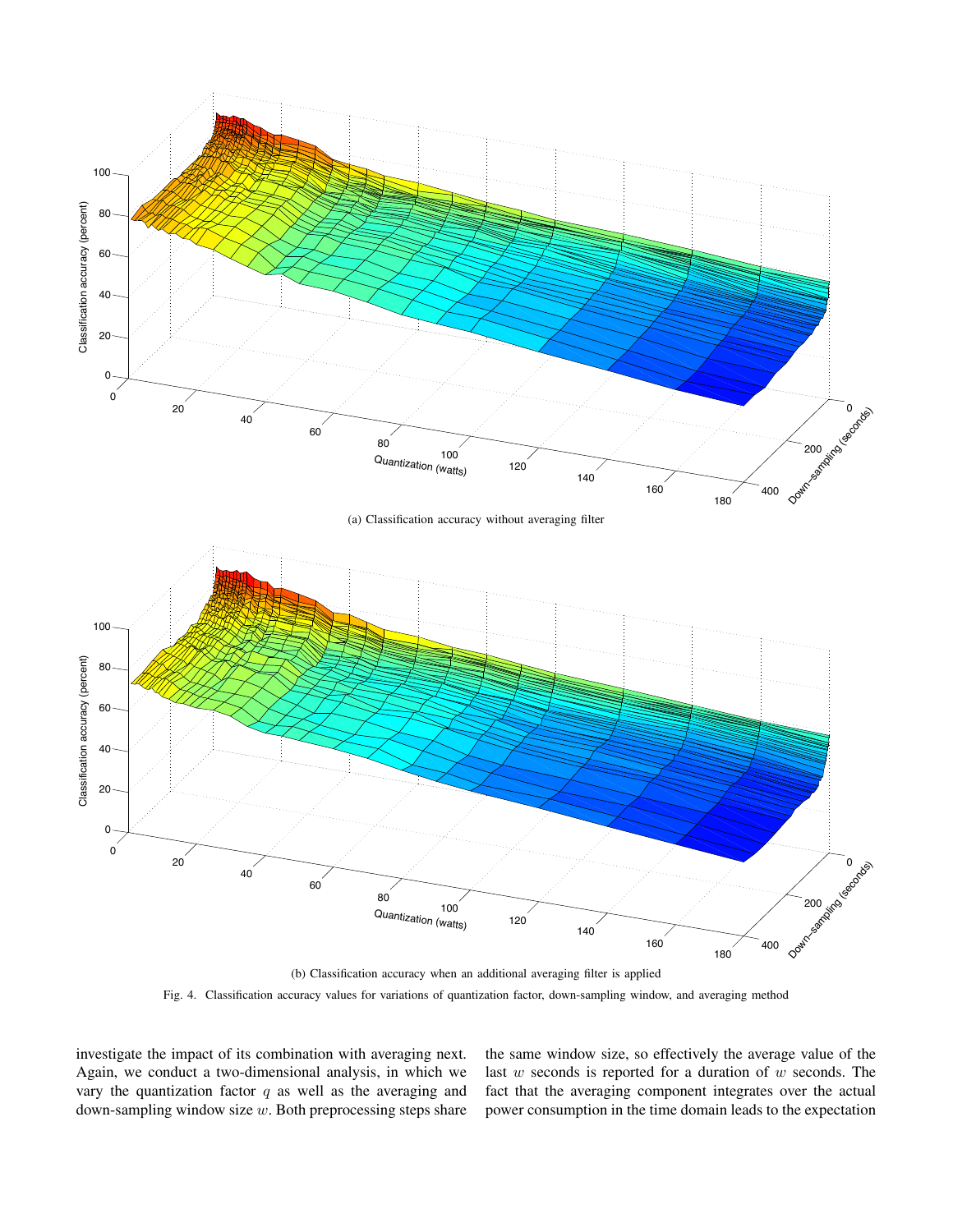

(b) Classification accuracy when an additional averaging filter is applied Fig. 4. Classification accuracy values for variations of quantization factor, down-sampling window, and averaging method

investigate the impact of its combination with averaging next. Again, we conduct a two-dimensional analysis, in which we vary the quantization factor *q* as well as the averaging and down-sampling window size *w*. Both preprocessing steps share the same window size, so effectively the average value of the last *w* seconds is reported for a duration of *w* seconds. The fact that the averaging component integrates over the actual power consumption in the time domain leads to the expectation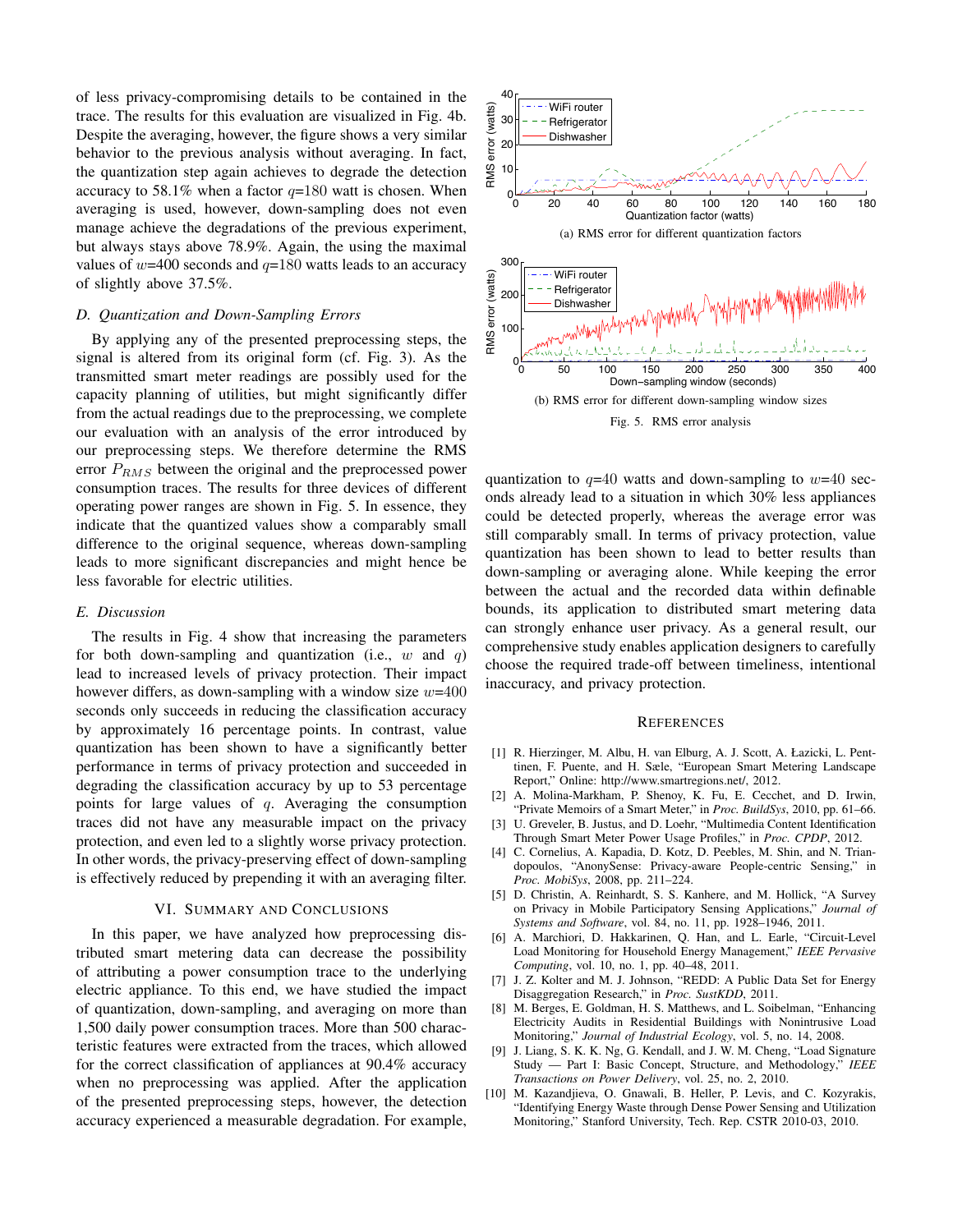of less privacy-compromising details to be contained in the trace. The results for this evaluation are visualized in Fig. 4b. Despite the averaging, however, the figure shows a very similar behavior to the previous analysis without averaging. In fact, the quantization step again achieves to degrade the detection accuracy to 58.1% when a factor *q*=180 watt is chosen. When averaging is used, however, down-sampling does not even manage achieve the degradations of the previous experiment, but always stays above 78.9%. Again, the using the maximal values of *w*=400 seconds and *q*=180 watts leads to an accuracy of slightly above 37.5%.

### *D. Quantization and Down-Sampling Errors*

By applying any of the presented preprocessing steps, the signal is altered from its original form (cf. Fig. 3). As the transmitted smart meter readings are possibly used for the capacity planning of utilities, but might significantly differ from the actual readings due to the preprocessing, we complete our evaluation with an analysis of the error introduced by our preprocessing steps. We therefore determine the RMS error *PRMS* between the original and the preprocessed power consumption traces. The results for three devices of different operating power ranges are shown in Fig. 5. In essence, they indicate that the quantized values show a comparably small difference to the original sequence, whereas down-sampling leads to more significant discrepancies and might hence be less favorable for electric utilities.

#### *E. Discussion*

The results in Fig. 4 show that increasing the parameters for both down-sampling and quantization (i.e., *w* and *q*) lead to increased levels of privacy protection. Their impact however differs, as down-sampling with a window size *w*=400 seconds only succeeds in reducing the classification accuracy by approximately 16 percentage points. In contrast, value quantization has been shown to have a significantly better performance in terms of privacy protection and succeeded in degrading the classification accuracy by up to 53 percentage points for large values of *q*. Averaging the consumption traces did not have any measurable impact on the privacy protection, and even led to a slightly worse privacy protection. In other words, the privacy-preserving effect of down-sampling is effectively reduced by prepending it with an averaging filter.

### VI. SUMMARY AND CONCLUSIONS

In this paper, we have analyzed how preprocessing distributed smart metering data can decrease the possibility of attributing a power consumption trace to the underlying electric appliance. To this end, we have studied the impact of quantization, down-sampling, and averaging on more than 1,500 daily power consumption traces. More than 500 characteristic features were extracted from the traces, which allowed for the correct classification of appliances at 90.4% accuracy when no preprocessing was applied. After the application of the presented preprocessing steps, however, the detection accuracy experienced a measurable degradation. For example,



quantization to *q*=40 watts and down-sampling to *w*=40 seconds already lead to a situation in which 30% less appliances could be detected properly, whereas the average error was still comparably small. In terms of privacy protection, value quantization has been shown to lead to better results than down-sampling or averaging alone. While keeping the error between the actual and the recorded data within definable bounds, its application to distributed smart metering data can strongly enhance user privacy. As a general result, our comprehensive study enables application designers to carefully choose the required trade-off between timeliness, intentional inaccuracy, and privacy protection.

#### **REFERENCES**

- [1] R. Hierzinger, M. Albu, H. van Elburg, A. J. Scott, A. Łazicki, L. Penttinen, F. Puente, and H. Sæle, "European Smart Metering Landscape Report," Online: http://www.smartregions.net/, 2012.
- [2] A. Molina-Markham, P. Shenoy, K. Fu, E. Cecchet, and D. Irwin, "Private Memoirs of a Smart Meter," in *Proc. BuildSys*, 2010, pp. 61–66.
- [3] U. Greveler, B. Justus, and D. Loehr, "Multimedia Content Identification Through Smart Meter Power Usage Profiles," in *Proc. CPDP*, 2012.
- [4] C. Cornelius, A. Kapadia, D. Kotz, D. Peebles, M. Shin, and N. Triandopoulos, "AnonySense: Privacy-aware People-centric Sensing," in *Proc. MobiSys*, 2008, pp. 211–224.
- [5] D. Christin, A. Reinhardt, S. S. Kanhere, and M. Hollick, "A Survey on Privacy in Mobile Participatory Sensing Applications," *Journal of Systems and Software*, vol. 84, no. 11, pp. 1928–1946, 2011.
- [6] A. Marchiori, D. Hakkarinen, Q. Han, and L. Earle, "Circuit-Level Load Monitoring for Household Energy Management," *IEEE Pervasive Computing*, vol. 10, no. 1, pp. 40–48, 2011.
- [7] J. Z. Kolter and M. J. Johnson, "REDD: A Public Data Set for Energy Disaggregation Research," in *Proc. SustKDD*, 2011.
- [8] M. Berges, E. Goldman, H. S. Matthews, and L. Soibelman, "Enhancing Electricity Audits in Residential Buildings with Nonintrusive Load Monitoring," *Journal of Industrial Ecology*, vol. 5, no. 14, 2008.
- [9] J. Liang, S. K. K. Ng, G. Kendall, and J. W. M. Cheng, "Load Signature Study — Part I: Basic Concept, Structure, and Methodology," *IEEE Transactions on Power Delivery*, vol. 25, no. 2, 2010.
- [10] M. Kazandjieva, O. Gnawali, B. Heller, P. Levis, and C. Kozyrakis, "Identifying Energy Waste through Dense Power Sensing and Utilization Monitoring," Stanford University, Tech. Rep. CSTR 2010-03, 2010.